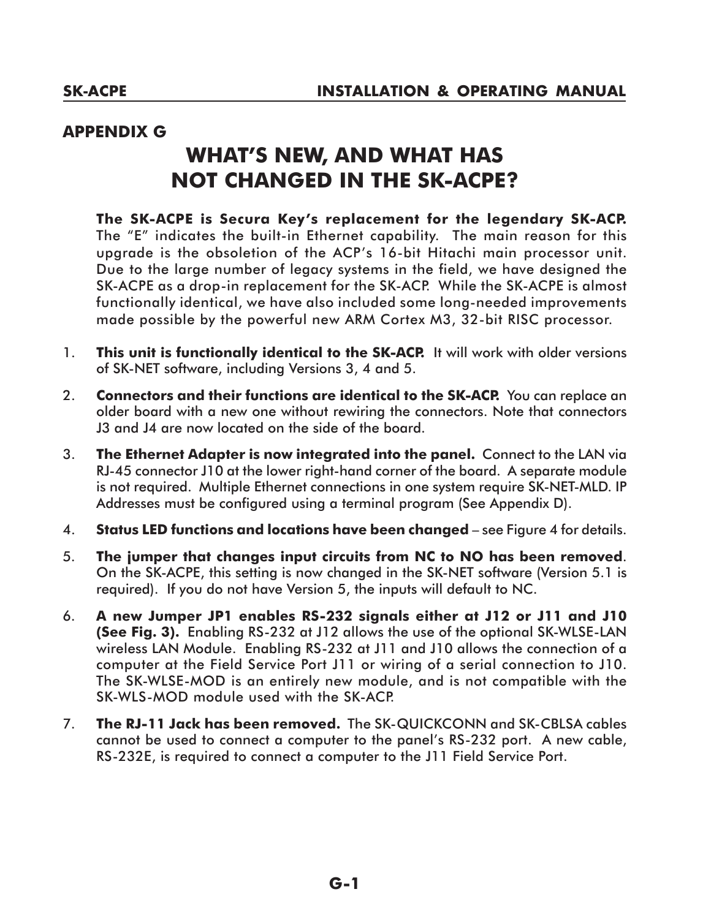## **APPENDIX G**

## **What's new, and what has not changed in the SK-ACPE?**

**The SK-ACPE is Secura Key's replacement for the legendary SK-ACP.** The "E" indicates the built-in Ethernet capability. The main reason for this upgrade is the obsoletion of the ACP's 16-bit Hitachi main processor unit. Due to the large number of legacy systems in the field, we have designed the SK-ACPE as a drop-in replacement for the SK-ACP. While the SK-ACPE is almost functionally identical, we have also included some long-needed improvements made possible by the powerful new ARM Cortex M3, 32-bit RISC processor.

- 1. **This unit is functionally identical to the SK-ACP.** It will work with older versions of SK-NET software, including Versions 3, 4 and 5.
- 2. **Connectors and their functions are identical to the SK-ACP.** You can replace an older board with a new one without rewiring the connectors. Note that connectors J3 and J4 are now located on the side of the board.
- 3. **The Ethernet Adapter is now integrated into the panel.** Connect to the LAN via RJ-45 connector J10 at the lower right-hand corner of the board. A separate module is not required. Multiple Ethernet connections in one system require SK-NET-MLD. IP Addresses must be configured using a terminal program (See Appendix D).
- 4. **Status LED functions and locations have been changed**  see Figure 4 for details.
- 5. **The jumper that changes input circuits from NC to NO has been removed**. On the SK-ACPE, this setting is now changed in the SK-NET software (Version 5.1 is required). If you do not have Version 5, the inputs will default to NC.
- 6. **A new Jumper JP1 enables RS-232 signals either at J12 or J11 and J10 (See Fig. 3).** Enabling RS-232 at J12 allows the use of the optional SK-WLSE-LAN wireless LAN Module. Enabling RS-232 at J11 and J10 allows the connection of a computer at the Field Service Port J11 or wiring of a serial connection to J10. The SK-WLSE-MOD is an entirely new module, and is not compatible with the SK-WLS-MOD module used with the SK-ACP.
- 7. **The RJ-11 Jack has been removed.** The SK-QUICKCONN and SK-CBLSA cables cannot be used to connect a computer to the panel's RS-232 port. A new cable, RS-232E, is required to connect a computer to the J11 Field Service Port.